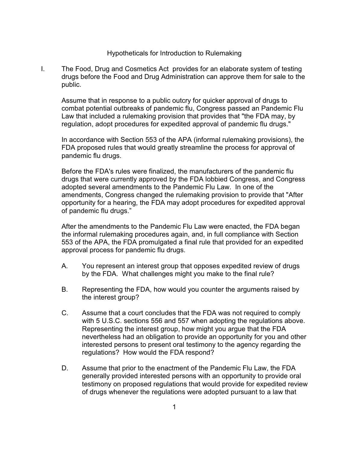## Hypotheticals for Introduction to Rulemaking

I. The Food, Drug and Cosmetics Act provides for an elaborate system of testing drugs before the Food and Drug Administration can approve them for sale to the public.

Assume that in response to a public outcry for quicker approval of drugs to combat potential outbreaks of pandemic flu, Congress passed an Pandemic Flu Law that included a rulemaking provision that provides that "the FDA may, by regulation, adopt procedures for expedited approval of pandemic flu drugs."

In accordance with Section 553 of the APA (informal rulemaking provisions), the FDA proposed rules that would greatly streamline the process for approval of pandemic flu drugs.

Before the FDA's rules were finalized, the manufacturers of the pandemic flu drugs that were currently approved by the FDA lobbied Congress, and Congress adopted several amendments to the Pandemic Flu Law. In one of the amendments, Congress changed the rulemaking provision to provide that "After opportunity for a hearing, the FDA may adopt procedures for expedited approval of pandemic flu drugs."

After the amendments to the Pandemic Flu Law were enacted, the FDA began the informal rulemaking procedures again, and, in full compliance with Section 553 of the APA, the FDA promulgated a final rule that provided for an expedited approval process for pandemic flu drugs.

- A. You represent an interest group that opposes expedited review of drugs by the FDA. What challenges might you make to the final rule?
- B. Representing the FDA, how would you counter the arguments raised by the interest group?
- C. Assume that a court concludes that the FDA was not required to comply with 5 U.S.C. sections 556 and 557 when adopting the regulations above. Representing the interest group, how might you argue that the FDA nevertheless had an obligation to provide an opportunity for you and other interested persons to present oral testimony to the agency regarding the regulations? How would the FDA respond?
- D. Assume that prior to the enactment of the Pandemic Flu Law, the FDA generally provided interested persons with an opportunity to provide oral testimony on proposed regulations that would provide for expedited review of drugs whenever the regulations were adopted pursuant to a law that